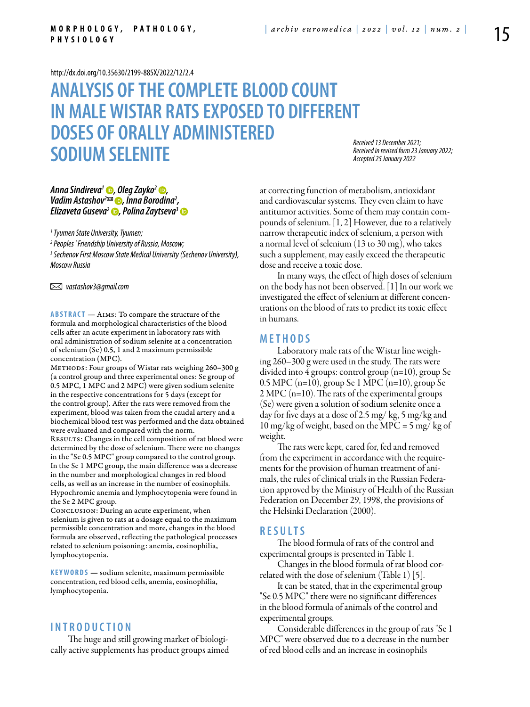<http://dx.doi.org/10.35630/2199-885X/2022/12/2.4>

# **Analysis of the complete blood count in male Wistar rats exposed to different doses of orally administered sodium selenite**

*Received 13 December 2021; Received in revised form 23 January 2022; Accepted 25 January 2022*

## *[Anna Sindireva](https://orcid.org/0000-0001-8596-7584)1 , [Oleg Zayko2](https://orcid.org/0000-0002-9324-3591) , [Vadim Astashov](https://orcid.org/0000-0003-2846-1944)2 , Inna Borodina2 , [Elizaveta Guseva](https://orcid.org/0000-0002-5384-9249)2 , [Polina Zaytseva3](http://)*

*1 Tyumen State University, Tyumen;*

*2 Peoples ' Friendship University of Russia, Moscow;*

*3 Sechenov First Moscow State Medical University (Sechenov University), Moscow Russia* 

 *vastashov3@gmail.com* 

**Abstract** — Aims: To compare the structure of the formula and morphological characteristics of the blood cells after an acute experiment in laboratory rats with oral administration of sodium selenite at a concentration of selenium (Se) 0.5, 1 and 2 maximum permissible concentration (MPC).

METHODS: Four groups of Wistar rats weighing 260-300 g (a control group and three experimental ones: Se group of 0.5 MPC, 1 MPC and 2 MPC) were given sodium selenite in the respective concentrations for 5 days (except for the control group). After the rats were removed from the experiment, blood was taken from the caudal artery and a biochemical blood test was performed and the data obtained were evaluated and compared with the norm. RESULTS: Changes in the cell composition of rat blood were determined by the dose of selenium. There were no changes in the "Se 0.5 MPC" group compared to the control group. In the Se 1 MPC group, the main difference was a decrease in the number and morphological changes in red blood cells, as well as an increase in the number of eosinophils. Hypochromic anemia and lymphocytopenia were found in the Se 2 MPC group.

Conclusion: During an acute experiment, when selenium is given to rats at a dosage equal to the maximum permissible concentration and more, changes in the blood formula are observed, reflecting the pathological processes related to selenium poisoning: anemia, eosinophilia, lymphocytopenia.

**K eywords** — sodium selenite, maximum permissible concentration, red blood cells, anemia, eosinophilia, lymphocytopenia.

# **I n t r o ducti o n**

The huge and still growing market of biologically active supplements has product groups aimed at correcting function of metabolism, antioxidant and cardiovascular systems. They even claim to have antitumor activities. Some of them may contain compounds of selenium. [1, 2] However, due to a relatively narrow therapeutic index of selenium, a person with a normal level of selenium (13 to 30 mg), who takes such a supplement, may easily exceed the therapeutic dose and receive a toxic dose.

In many ways, the effect of high doses of selenium on the body has not been observed. [1] In our work we investigated the effect of selenium at different concentrations on the blood of rats to predict its toxic effect in humans.

## **M e t h o d s**

Laboratory male rats of the Wistar line weighing 260–300 g were used in the study. The rats were divided into 4 groups: control group (n=10), group Se 0.5 MPC ( $n=10$ ), group Se 1 MPC ( $n=10$ ), group Se 2 MPC (n=10). The rats of the experimental groups (Se) were given a solution of sodium selenite once a day for five days at a dose of 2.5 mg/ kg, 5 mg/kg and 10 mg/kg of weight, based on the MPC = 5 mg/ kg of weight.

The rats were kept, cared for, fed and removed from the experiment in accordance with the requirements for the provision of human treatment of animals, the rules of clinical trials in the Russian Federation approved by the Ministry of Health of the Russian Federation on December 29, 1998, the provisions of the Helsinki Declaration (2000).

# **R e s ult s**

The blood formula of rats of the control and experimental groups is presented in Table 1.

Changes in the blood formula of rat blood correlated with the dose of selenium (Table 1) [5].

It can be stated, that in the experimental group "Se 0.5 MPC" there were no significant differences in the blood formula of animals of the control and experimental groups.

Considerable differences in the group of rats "Se 1 MPC" were observed due to a decrease in the number of red blood cells and an increase in eosinophils